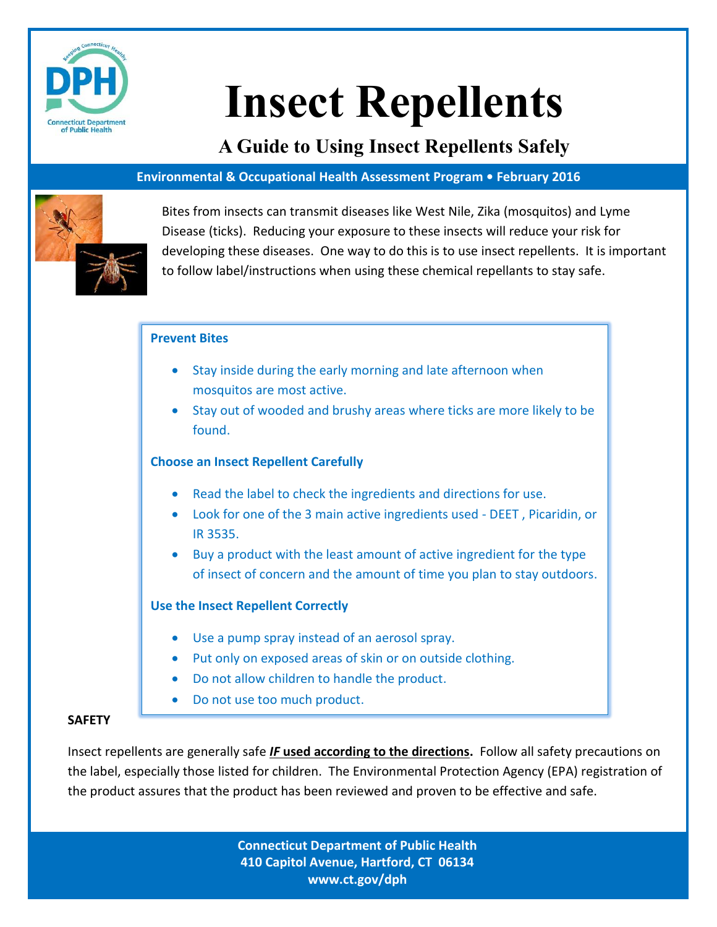

# **Insect Repellents**

**A Guide to Using Insect Repellents Safely**

# **Environmental & Occupational Health Assessment Program • February 2016**



Bites from insects can transmit diseases like West Nile, Zika (mosquitos) and Lyme Disease (ticks). Reducing your exposure to these insects will reduce your risk for developing these diseases. One way to do this is to use insect repellents. It is important to follow label/instructions when using these chemical repellants to stay safe.

# **Prevent Bites**

- Stay inside during the early morning and late afternoon when mosquitos are most active.
- Stay out of wooded and brushy areas where ticks are more likely to be found.

# **Choose an Insect Repellent Carefully**

- Read the label to check the ingredients and directions for use.
- Look for one of the 3 main active ingredients used DEET , Picaridin, or IR 3535.
- Buy a product with the least amount of active ingredient for the type of insect of concern and the amount of time you plan to stay outdoors.

# **Use the Insect Repellent Correctly**

- Use a pump spray instead of an aerosol spray.
- Put only on exposed areas of skin or on outside clothing.
- Do not allow children to handle the product.
- Do not use too much product.

# **SAFETY**

Insect repellents are generally safe *IF* **used according to the directions.** Follow all safety precautions on the label, especially those listed for children. The Environmental Protection Agency (EPA) registration of the product assures that the product has been reviewed and proven to be effective and safe.

> **Connecticut Department of Public Health 410 Capitol Avenue, Hartford, CT 06134 www.ct.gov/dph**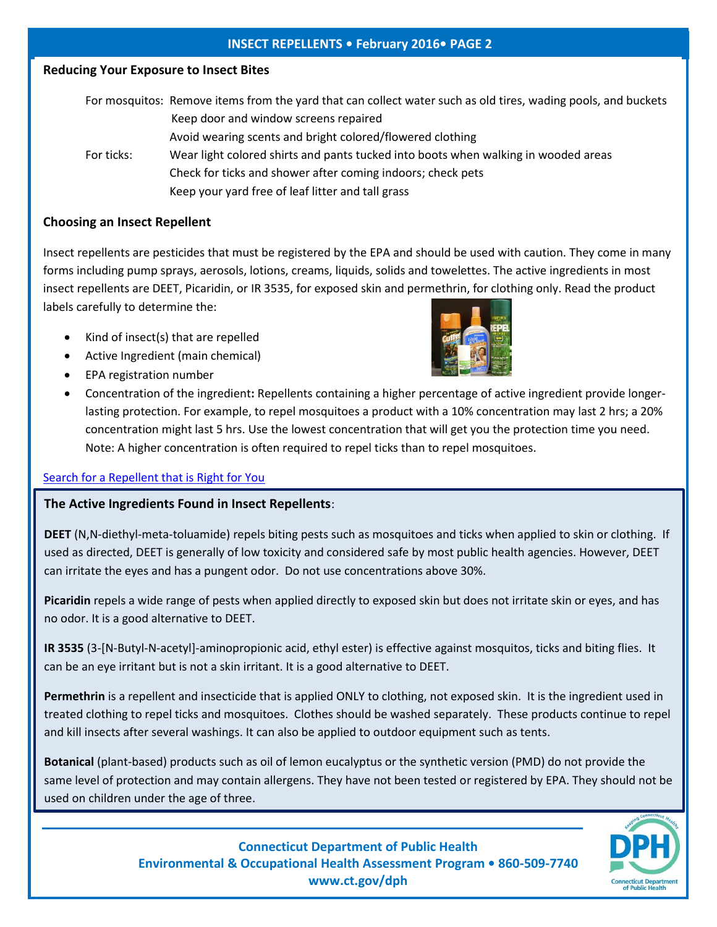## **INSECT REPELLENTS • February 2016• PAGE 2**

### **Reducing Your Exposure to Insect Bites**

|            | For mosquitos: Remove items from the yard that can collect water such as old tires, wading pools, and buckets |
|------------|---------------------------------------------------------------------------------------------------------------|
|            | Keep door and window screens repaired                                                                         |
|            | Avoid wearing scents and bright colored/flowered clothing                                                     |
| For ticks: | Wear light colored shirts and pants tucked into boots when walking in wooded areas                            |
|            | Check for ticks and shower after coming indoors; check pets                                                   |
|            | Keep your yard free of leaf litter and tall grass                                                             |
|            |                                                                                                               |

## **Choosing an Insect Repellent**

Insect repellents are pesticides that must be registered by the EPA and should be used with caution. They come in many forms including pump sprays, aerosols, lotions, creams, liquids, solids and towelettes. The active ingredients in most insect repellents are DEET, Picaridin, or IR 3535, for exposed skin and permethrin, for clothing only. Read the product labels carefully to determine the:

- Kind of insect(s) that are repelled
- Active Ingredient (main chemical)
- EPA registration number



 Concentration of the ingredient**:** Repellents containing a higher percentage of active ingredient provide longerlasting protection. For example, to repel mosquitoes a product with a 10% concentration may last 2 hrs; a 20% concentration might last 5 hrs. Use the lowest concentration that will get you the protection time you need. Note: A higher concentration is often required to repel ticks than to repel mosquitoes.

#### [Search for a Repellent that is Right for You](http://cfpub.epa.gov/oppref/insect/)

#### **The Active Ingredients Found in Insect Repellents**:

**DEET** (N,N-diethyl-meta-toluamide) repels biting pests such as mosquitoes and ticks when applied to skin or clothing. If used as directed, DEET is generally of low toxicity and considered safe by most public health agencies. However, DEET can irritate the eyes and has a pungent odor. Do not use concentrations above 30%.

**Picaridin** repels a wide range of pests when applied directly to exposed skin but does not irritate skin or eyes, and has no odor. It is a good alternative to DEET.

**IR 3535** (3-[N-Butyl-N-acetyl]-aminopropionic acid, ethyl ester) is effective against mosquitos, ticks and biting flies. It can be an eye irritant but is not a skin irritant. It is a good alternative to DEET.

**Permethrin** is a repellent and insecticide that is applied ONLY to clothing, not exposed skin. It is the ingredient used in treated clothing to repel ticks and mosquitoes. Clothes should be washed separately. These products continue to repel and kill insects after several washings. It can also be applied to outdoor equipment such as tents.

**Botanical** (plant-based) products such as oil of lemon eucalyptus or the synthetic version (PMD) do not provide the same level of protection and may contain allergens. They have not been tested or registered by EPA. They should not be used on children under the age of three.



**Connecticut Department of Public Health Environmental & Occupational Health Assessment Program • 860-509-7740 www.ct.gov/dph**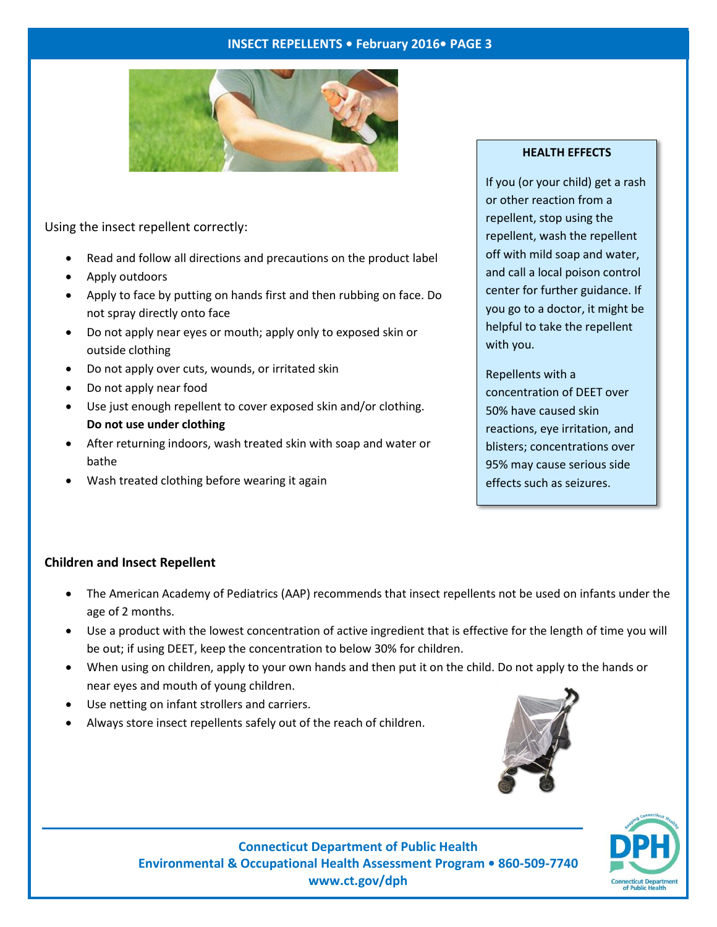#### **INSECT REPELLENTS • February 2016• PAGE 3**



## Using the insect repellent correctly:

- Read and follow all directions and precautions on the product label
- Apply outdoors
- Apply to face by putting on hands first and then rubbing on face. Do not spray directly onto face
- Do not apply near eyes or mouth; apply only to exposed skin or outside clothing
- Do not apply over cuts, wounds, or irritated skin
- Do not apply near food
- Use just enough repellent to cover exposed skin and/or clothing. **Do not use under clothing**
- After returning indoors, wash treated skin with soap and water or bathe
- Wash treated clothing before wearing it again

#### **HEALTH EFFECTS**

If you (or your child) get a rash or other reaction from a repellent, stop using the repellent, wash the repellent off with mild soap and water, and call a local poison control center for further guidance. If you go to a doctor, it might be helpful to take the repellent with you.

Repellents with a concentration of DEET over 50% have caused skin reactions, eye irritation, and blisters; concentrations over 95% may cause serious side effects such as seizures.

#### **Children and Insect Repellent**

- The American Academy of Pediatrics (AAP) recommends that insect repellents not be used on infants under the age of 2 months.
- Use a product with the lowest concentration of active ingredient that is effective for the length of time you will be out; if using DEET, keep the concentration to below 30% for children.
- When using on children, apply to your own hands and then put it on the child. Do not apply to the hands or near eyes and mouth of young children.
- Use netting on infant strollers and carriers.
- Always store insect repellents safely out of the reach of children.





**Connecticut Department of Public Health Environmental & Occupational Health Assessment Program • 860-509-7740 www.ct.gov/dph**